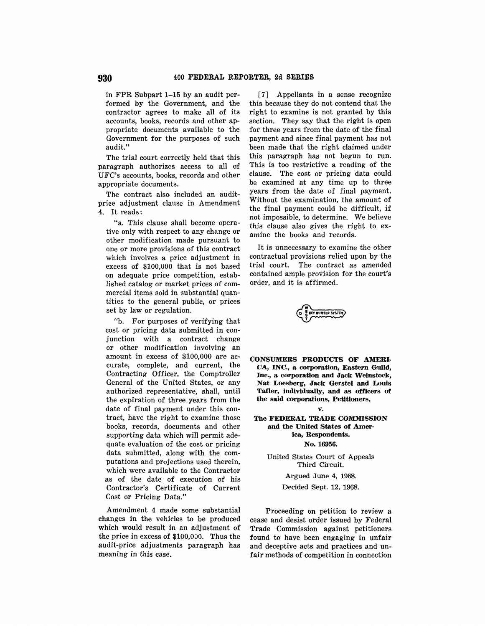in FPR Subpart 1-15 by an audit performed by the Government, and the contractor agrees to make all of its accounts, books, records and other appropriate documents available to the Government for the purposes of such audit."

The trial court correctly held that this paragraph authorizes access to all of UFC's accounts, books, records and other appropriate documents.

The contract also included an auditprice adjustment clause in Amendment 4. It reads:

"a. This clause shall become operative only with respect to any change or other modification made pursuant to one or more provisions of this contract which involves a price adjustment in excess of \$100,000 that is not based on adequate price competition, established catalog or market prices of commercial items sold in substantial quantities to the general public, or prices set by law or regulation.

"b. For purposes of verifying that cost or pricing data submitted in conjunction with a contract change or other modification involving an amount in excess of \$100,000 are accurate, complete, and current, the Contracting Officer, the Comptroller General of the United States, or any authorized representative, shall, until the expiration of three years from the date of final payment under this contract, have the right to examine those books, records, documents and other supporting data which will permit adequate evaluation of the cost or pricing data submitted, along with the computations and projections used therein, which were available to the Contractor as of the date of execution of his Contractor's Certificate of Current Cost or Pricing Data."

Amendment 4 made some substantial changes in the vehicles to be produced which would result in an adjustment of the price in excess of  $$100.000$ . Thus the audit-price adjustments paragraph has meaning in this case.

[7] Appellants in a sense recognize this because they do not contend that the right to examine is not granted by this section. They say that the right is open for three years from the date of the final payment and since final payment has not been made that the right claimed under this paragraph has not begun to run. This is too restrictive a reading of the clause. The cost or pricing data could be examined at any time up to three years from the date of final payment. Without the examination, the amount of the final payment could be difficult, if not impossible, to determine. We believe this clause also gives the right to examine the books and records.

It is unnecessary to examine the other contractual provisions relied upon by the trial court. The contract as amended contained ample provision for the court's order, and it is affirmed.

EY NUMBER SYSTEM

**CONSUMERS PRODUCTS OF AMERI-CA, INC., a corporation, Eastern Guild, Inc., a corporation and Jack Weinstock, Nat Loesberg, Jack Gerstel and Louis Tafler, individually, and as officers of the said corporations, Petitioners,** 

# **v.**  The **FEDERAL TRADE COMMISSION**

**and the United States of America, Respondents. No.16956.** 

United States Court of Appeals Third Circuit.

Argued June 4, 1968.

Decided Sept. 12, 1968.

Proceeding on petition to review a cease and desist order issued by Federal Trade Commission against petitioners found to have been engaging in unfair and deceptive acts and practices and unfair methods of competition in connection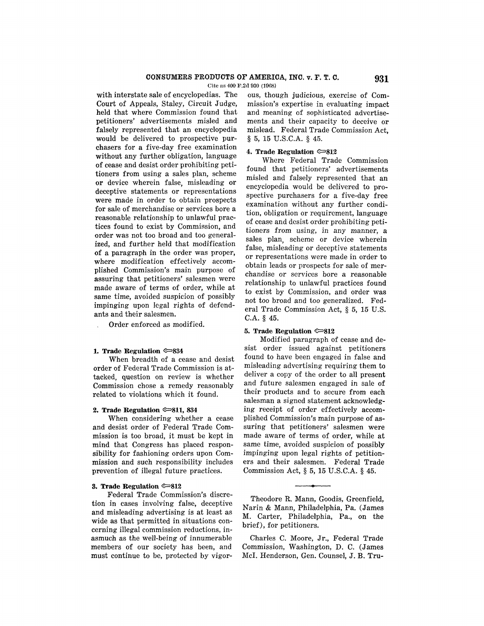Cite as 400 F.2d 030 (1008)

with interstate sale of encyclopedias. The Court of Appeals, Staley, Circuit Judge, held that where Commission found that petitioners' advertisements misled and falsely represented that an encyclopedia would be delivered to prospective purchasers for a five-day free examination without any further obligation, language of cease and desist order prohibiting petitioners from using a sales plan, scheme or device wherein false, misleading or deceptive statements or representations were made in order to obtain prospects for sale of merchandise or services bore a reasonable relationship to unlawful practices found to exist by Commission, and order was not too broad and too generalized, and further held that modification of a paragraph in the order was proper, where modification effectively accomplished Commission's main purpose of assuring that petitioners' salesmen were made aware of terms of order, while at same time, avoided suspicion of possibly impinging upon legal rights of defendants and their salesmen.

Order enforced as modified.

#### **1. Trade Regulation**  $\approx 834$

When breadth of a cease and desist order of Federal Trade Commission is at tacked, question on review is whether Commission chose a remedy reasonably related to violations which it found.

#### **2. Trade Regulation**  $\infty$ **811, 834**

When considering whether a cease and desist order of Federal Trade Commission is too broad, it must be kept in mind that Congress has placed responsibility for fashioning orders upon Commission and such responsibility includes prevention of illegal future practices.

#### **3. Trade Regulation**  $\approx 812$

Federal Trade Commission's discretion in cases involving false, deceptive and misleading advertising is at least as wide as that permitted in situations concerning illegal commission reductions, inasmuch as the well-being of innumerable members of our society has been, and must continue to be, protected by vigorous, though judicious, exercise of Commission's expertise in evaluating impact and meaning of sophisticated advertisements and their capacity to deceive or mislead. Federal Trade Commission Act, § 5, 15 U.S.C.A. § 45.

#### **4. Trade Regulation**  $\infty$ **812**

Where Federal Trade Commission found that petitioners' advertisements misled and falsely represented that an encyclopedia would be delivered to prospective purchasers for a five-day free examination without any further condition, obligation or requirement, language of cease and desist order prohibiting petitioners from using, in any manner, a sales plan, scheme or device wherein false, misleading or deceptive statements or representations were made in order to obtain leads or prospects for sale of merchandise or services bore a reasonable relationship to unlawful practices found to exist by Commission, and order was not too broad and too generalized. Federal Trade Commission Act, § 5, 15 U.S. C.A. § 45.

### **5. Trade Regulation**  $\infty$ **812**

Modified paragraph of cease and desist order issued against petitioners found to have been engaged in false and misleading advertising requiring them to deliver a copy of the order to all present and future salesmen engaged in sale of their products and to secure from each salesman a signed statement acknowledging receipt of order effectively accomplished Commission's main purpose of assuring that petitioners' salesmen were made aware of terms of order, while at same time, avoided suspicion of possibly impinging upon legal rights of petitioners and their salesmen. Federal Trade Commission Act, § 5, 15 U.S.C.A. § 45.

Theodore R. Mann, Goodis, Greenfield, Narin & Mann, Philadelphia, Pa. (James M. Carter, Philadelphia, Pa., on the brief), for petitioners.

Charles C. Moore, Jr., Federal Trade Commission, Washington, D. C. (James McI. Henderson, Gen. Counsel, J.B. Tru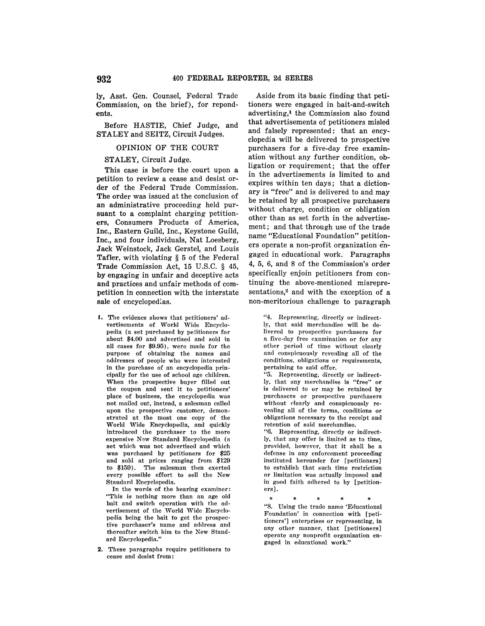ly, Asst. Gen. Counsel, Federal Trade Commission, on the brief), for repondents.

Before HASTIE, Chief Judge, and STALEY and SEITZ, Circuit Judges.

## OPINION OF THE COURT

## STALEY, Circuit Judge.

This case is before the court upon a petition to review a cease and desist order of the Federal Trade Commission. **The** order was issued at the conclusion of an administrative proceeding held pursuant to a complaint charging petitioners, Consumers Products of America, Inc., Eastern Guild, Inc., Keystone Guild, Inc., and four individuals, Nat Loesberg, Jack Weinstock, Jack Gerstel, and Louis Tafler, with violating § 5 of the Federal Trade Commission Act, 15 U.S.C. § 45, **by** engaging in unfair and deceptive acts **and** practices and unfair methods of competition in connection with the interstate **sale** of encyclopedias.

I. The evidence shows that petitioners' advertisements of World Wide Encyclopedia (a set purchased by petitioners for about \$4.00 and advertised and sold in all cases for \$9.95), were made for the purpose of obtaining the names and addresses of people who were interested in the purchase of an encyclopedia principally for the use of school age children. When the prospective buyer filled out the coupon and sent it to petitioners' place of business, the encyclopedia was not mailed out, instead, a salesman called upon the prospective customer, demonstrated at the most one copy of the World Wide Encyclopedia, and quickly introduced the purchaser to the more expensive New Standard Encyclopedia (a set which was not advertised and which was purchased by petitioners for \$25 and sold at prices ranging from \$129 to \$159). The salesman then exerted every possible effort to sell the New Standard Encyclopedia.

In the words of the hearing examiner: "This is nothing more than an age old bait and switch operation with the advertisement of the World Wide Encyclopedia being the bait to get the prospective purchaser's name and address and thereafter switch him to the New Standard Encyclopedia."

2. These paragraphs require petitioners to cease and desist from:

Aside from its basic finding that petitioners were engaged in bait-and-switch advertising,1 the Commission also found that advertisements of petitioners misled and falsely represented: that an encyclopedia will be delivered to prospective purchasers for a five-day free examination without any further condition, obligation or requirement; that the offer in the advertisements is limited to and expires within ten days; that a dictionary is "free" and is delivered to and may be retained by all prospective purchasers without charge, condition or obligation other than as set forth in the advertisement; and that through use of the trade name "Educational Foundation" petitioners operate a non-profit organization engaged in educational work. Paragraphs 4, 5, 6, and 8 of the Commission's order specifically enjoin petitioners from continuing the above-mentioned misrepresentations,<sup>2</sup> and with the exception of a non-meritorious challenge to paragraph

> "4. Representing, directly or indirectlr, that said merchandise will be delivered to prospective purchasers for a five-day free examination or for any other period of time without clearly and conspicuously revealing all of the conditions, obligations or requirements, pertaining to said offer.

> "5. Representing, directly or indirectly, that any merchandise is "free" or is delivered to or may be retained by purchasers or prospective purchasers without clearly and conspicuously revealing all of the terms, conditions or obligations necessary to the receipt and retention of said merchandise.

> "6. Representing, directly or indirectly, that any offer is limited as to time, provided, however, that it shall be n defense in any enforcement proceeding instituted hereunder for [petitioners] to establish that such time restriction or limitation was actually imposed and in good faith adhered to by [petitioners].

\* \* \* \* \* "8. Using the trade name 'Eilucational Foundation' in connection with [petitioners'] enterprises or representing, in any other manner, that [petitioners] operate any nonprofit organization engaged in educational work."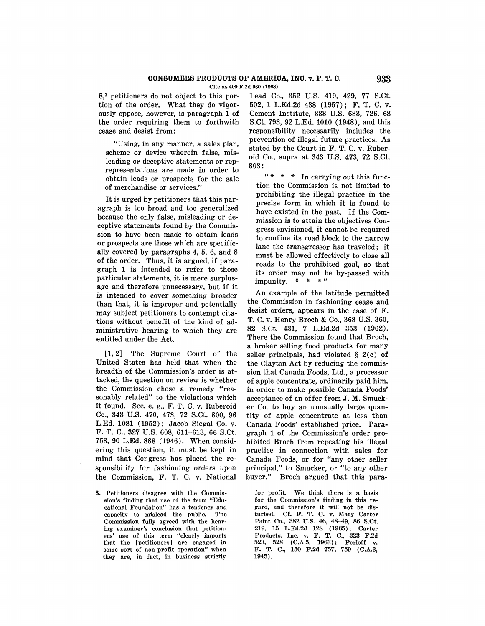Cite as 400 F.2d 930 (1968)

**8,3** petitioners do not object to this portion of the order. What they do vigorously oppose, however, is paragraph 1 of the order requiring them to forthwith cease and desist from:

"Using, in any manner, a sales plan, scheme or device wherein false, misleading or deceptive statements or reprepresentations are made in order to obtain leads or prospects for the sale of merchandise or services."

It is urged by petitioners that this paragraph is too broad and too generalized because the only false, misleading or deceptive statements found by the Commission to have been made to obtain leads **or** prospects are those which are specifically covered by paragraphs 4, 5, 6, and 8 of the order. Thus, it is argued, if paragraph 1 is intended to refer to those particular statements, it is mere surplusage and therefore unnecessary, but if it is intended to cover something broader than that, it is improper and potentially may subject petitioners to contempt citations without benefit of the kind of administrative hearing to which they are entitled under the Act.

**[1, 2]** The Supreme Court of the United States has held that when the breadth of the Commission's order is attacked, the question on review is whether the Commission chose a remedy "reasonably related" to the violations which it found. See, e.g., F. T. C. v. Ruberoid Co., 343 U.S. 470, 473, 72 S.Ct. 800, 96 L.Ed. 1081 (1952); Jacob Siegal Co. v. F. T. C., 327 U.S. 608, 611-613, 66 S.Ct. 758, 90 L.Ed. 888 (1946). When considering this question, it must be kept in mind that Congress has placed the responsibility for fashioning orders upon the Commission, F. T. C. v. National

**3.** Petitioners disagree with the Commission's finding that use of the term "Educational Foundation" has a tendency and capacity to mislead the public. The Commission fully agreed with the hearing examiner's conclusion that petitioners' use of this term "clearly imports that the [petitioners] are engaged in some sort of non-profit operation" when they are, in fact, in business strictly

Lead Co., 352 U.S. 419, 429, 77 S.Ct. 502, **1** L.Ed.2d 438 (1957); F. T. C. v. Cement Institute, 888 U.S. 683, 726, 68 S.Ct. 798, 92 L.Ed. 1010 (1948), and this responsibility necessarily includes the prevention of illegal future practices. As stated by the Court in F. T. C. v. Ruberoid Co., supra at 343 U.S. 478, 72 S.Ct. 808:

" \* \* \* In carrying out this function the Commission is not limited to prohibiting the illegal practice in the precise form in which it is found to have existed in the past. If the Commission is to attain the objectives Congress envisioned, it cannot be required to confine its road block to the narrow lane the transgressor has traveled; it must be allowed effectively to close **all**  roads to the prohibited goal, so that its order may not be by-passed with impunity. \* \* \* "

An example of the latitude permitted the Commission in fashioning cease and desist orders, appears in the case of F. T. C. v. Henry Broch & Co., 868 U.S. 360, 82 S.Ct. 431, 7 L.Ed.2d 358 (1962). There the Commission found that Broch, a broker selling food products for many seller principals, had violated § 2(c) of the Clayton Act by reducing the commission that Canada Foods, Ltd., a processor of apple concentrate, ordinarily paid him, in order to make possible Canada Foods' acceptance of an offer from J. M. Smucker Co. to buy an unusually large quantity of apple concentrate at less than Canada Foods' established price. Paragraph 1 of the Commission's order prohibited Broch from repeating his illegal practice in connection with sales for Canada Foods, or for "any other seller principal," to Smucker, or "to any other buyer." Broch argued that this para-

for profit. We think there is a basis for the Commission's finding in this regard, and therefore it will not be disturbed. Cf. F. T. C. v. Mary Carter Paint Co., 382 U.S. 46, 48-49, 86 S.Ct. 219, 15 L.Ed.2d 128 (1965); Carter Products, Inc. v. F. T. C., 323 F.2d<br>523, 528 (C.A.5, 1963); Perloff v. 523, 528 (C.A.5, 1963); F. T. C., 150 F.2d 757, 759 (C.A.3, 1945).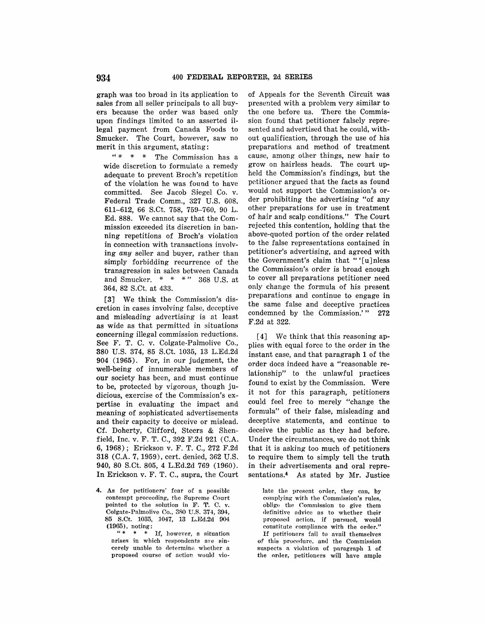**graph** was too broad in its application to sales from all seller principals to all buyers because the order was based only upon findings limited to an asserted illegal payment from Canada Foods to Smucker. The Court, however, saw no merit in this argument, stating:

 $" * * " The Commission has a$ wide discretion to formulate a remedy adequate to prevent Broch's repetition of the violation he was found to have committed. See Jacob Siegel Co. v. Federal Trade Comm., 327 U.S. 608, 611-612, 66 S.Ct. 758, 759-760, 90 L. Ed. 888. We cannot say that the Commission exceeded its discretion in banning repetitions of Broch's violation **in** connection with transactions involv**ing** any seller and buyer, rather than simply forbidding recurrence of the transgression in sales between Canada and Smucker. \* \* \* " 368 U.S. at 364, 82 S.Ct. at 433.

**[3]** We think the Commission's discretion in cases involving false, deceptive and misleading advertising is at least as wide as that permitted in situations concerning illegal commission reductions. See F. T. C. v. Colgate-Palmolive Co., 380 U.S. 374, 85 S.Ct. 1035, 13 L.Ed.2d 904 (1965). For, in our judgment, the well-being of innumerable members of our society has been, and must continue to be, protected by vigorous, though judicious, exercise of the Commission's expertise in evaluating the impact and meaning of sophisticated advertisements and their capacity to deceive or mislead. Cf. Doherty, Clifford, Steers & Shenfield, Inc. v. F. T. C., 392 F.2d 921 (C.A. 6, 1968); Erickson v. F. T. C., 272 F.2d 318 (C.A. 7, 1959), cert. denied, 362 U.S. 940, 80 S.Ct. 805, 4 L.Ed.2d 769 (1960). In Erickson v. F. T. C., supra, the Court

4. As for petitioners' fear of a possible contempt proceeding, the Supreme Court pointed to the solution in F. T. C. v. Colgate-Palmolive Co., 380 U.S. 374, 394, 85 S.Ct. 1035, 1047, 13 L.Ed.2d 904  $(1965)$ , noting:

If, however, a situation arises in which respondents are sincerely unable to determine whether a proposed course of action would vio-

of Appeals for the Seventh Circuit was presented with a problem very similar to the one before us. There the Commission found that petitioner falsely represented and advertised that he could, without qualification, through the use of his preparations and method of treatment cause, among other things, new hair to grow on hairless heads. The court upheld the Commission's findings, but the petitioner argued that the facts as found would not support the Commission's order prohibiting the advertising "of any other preparations for use in treatment of hair and scalp conditions." The Court rejected this contention, holding that the above-quoted portion of the order related to the false representations contained in petitioner's advertising, and agreed with the Government's claim that "'[u]nless the Commission's order is broad enough to cover all preparations petitioner need only change the formula of his present preparations and continue to engage in the same false and deceptive practices condemned by the Commission.' " **272**  F.2d at 322.

[4] We think that this reasoning applies with equal force to the order in the instant case, and that paragraph **1** of the order does indeed have a "reasonable relationship" to the unlawful practices found to exist by the Commission. Were it not for this paragraph, petitioners could feel free to merely "change the formula" of their false, misleading and deceptive statements, and continue to deceive the public as they had before. Under the circumstances, we do not think that it is asking too much of petitioners to require them to simply tell the truth in their advertisements and oral representations.4 As stated by Mr. Justice

late the present order, they can, by complying with the Commission's rules, oblige the Commission to give them definitive advice as to whether their proposed action, if pursued, would constitute eomplinnce with the orrler." If petitioners fail to avail themselves of this procedure, and the Commission suspects n violation of puragraph 1 of the order, petitioners will have ample